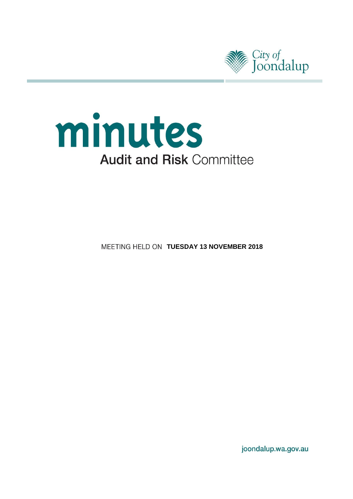



**MEETING HELD ON TUESDAY 13 NOVEMBER 2018** 

joondalup.wa.gov.au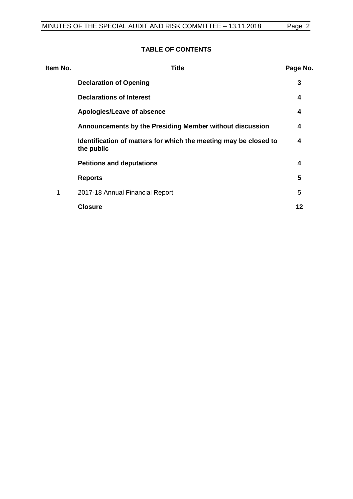## **TABLE OF CONTENTS**

| Item No. | Title                                                                          | Page No. |
|----------|--------------------------------------------------------------------------------|----------|
|          | <b>Declaration of Opening</b>                                                  | 3        |
|          | <b>Declarations of Interest</b>                                                | 4        |
|          | Apologies/Leave of absence                                                     | 4        |
|          | Announcements by the Presiding Member without discussion                       | 4        |
|          | Identification of matters for which the meeting may be closed to<br>the public | 4        |
|          | <b>Petitions and deputations</b>                                               | 4        |
|          | <b>Reports</b>                                                                 | 5        |
| 1        | 2017-18 Annual Financial Report                                                | 5        |
|          | <b>Closure</b>                                                                 | 12       |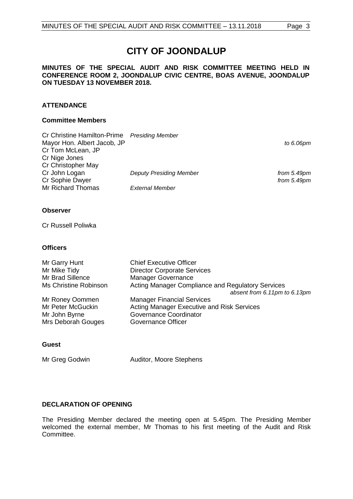# **CITY OF JOONDALUP**

#### **MINUTES OF THE SPECIAL AUDIT AND RISK COMMITTEE MEETING HELD IN CONFERENCE ROOM 2, JOONDALUP CIVIC CENTRE, BOAS AVENUE, JOONDALUP ON TUESDAY 13 NOVEMBER 2018.**

### **ATTENDANCE**

#### **Committee Members**

| <b>Presiding Member</b>        |               |
|--------------------------------|---------------|
|                                | to 6.06pm     |
|                                |               |
|                                |               |
|                                |               |
| <b>Deputy Presiding Member</b> | from $5.49pm$ |
|                                | from $5.49pm$ |
| <b>External Member</b>         |               |
|                                |               |

### **Observer**

Cr Russell Poliwka

#### **Officers**

| Mr Garry Hunt         | <b>Chief Executive Officer</b>                    |
|-----------------------|---------------------------------------------------|
| Mr Mike Tidy          | <b>Director Corporate Services</b>                |
| Mr Brad Sillence      | <b>Manager Governance</b>                         |
| Ms Christine Robinson | Acting Manager Compliance and Regulatory Services |
|                       | absent from 6.11pm to 6.13pm                      |
| Mr Roney Oommen       | <b>Manager Financial Services</b>                 |
| Mr Peter McGuckin     | Acting Manager Executive and Risk Services        |
| Mr John Byrne         | Governance Coordinator                            |
| Mrs Deborah Gouges    | Governance Officer                                |
|                       |                                                   |

### **Guest**

Mr Greg Godwin Auditor, Moore Stephens

### <span id="page-2-0"></span>**DECLARATION OF OPENING**

<span id="page-2-1"></span>The Presiding Member declared the meeting open at 5.45pm. The Presiding Member welcomed the external member, Mr Thomas to his first meeting of the Audit and Risk Committee.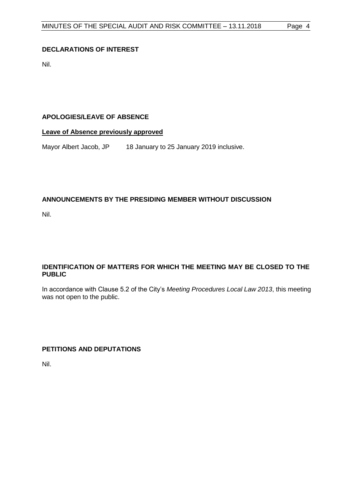## **DECLARATIONS OF INTEREST**

Nil.

## <span id="page-3-0"></span>**APOLOGIES/LEAVE OF ABSENCE**

## **Leave of Absence previously approved**

Mayor Albert Jacob, JP 18 January to 25 January 2019 inclusive.

## <span id="page-3-1"></span>**ANNOUNCEMENTS BY THE PRESIDING MEMBER WITHOUT DISCUSSION**

<span id="page-3-2"></span>Nil.

## **IDENTIFICATION OF MATTERS FOR WHICH THE MEETING MAY BE CLOSED TO THE PUBLIC**

In accordance with Clause 5.2 of the City's *Meeting Procedures Local Law 2013*, this meeting was not open to the public.

<span id="page-3-3"></span>**PETITIONS AND DEPUTATIONS**

Nil.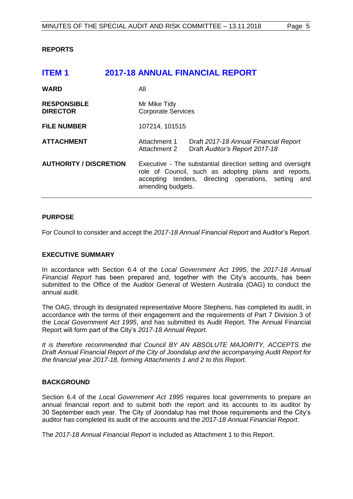#### <span id="page-4-0"></span>**REPORTS**

<span id="page-4-1"></span>

| <b>ITEM1</b>                          |                                                                                                                                                                                                  | <b>2017-18 ANNUAL FINANCIAL REPORT</b>                                  |  |
|---------------------------------------|--------------------------------------------------------------------------------------------------------------------------------------------------------------------------------------------------|-------------------------------------------------------------------------|--|
| <b>WARD</b>                           | All                                                                                                                                                                                              |                                                                         |  |
| <b>RESPONSIBLE</b><br><b>DIRECTOR</b> | Mr Mike Tidy<br><b>Corporate Services</b>                                                                                                                                                        |                                                                         |  |
| <b>FILE NUMBER</b>                    | 107214, 101515                                                                                                                                                                                   |                                                                         |  |
| <b>ATTACHMENT</b>                     | Attachment 1<br>Attachment 2                                                                                                                                                                     | Draft 2017-18 Annual Financial Report<br>Draft Auditor's Report 2017-18 |  |
| <b>AUTHORITY / DISCRETION</b>         | Executive - The substantial direction setting and oversight<br>role of Council, such as adopting plans and reports,<br>accepting tenders, directing operations, setting and<br>amending budgets. |                                                                         |  |

#### **PURPOSE**

For Council to consider and accept the *2017-18 Annual Financial Report* and Auditor's Report.

#### **EXECUTIVE SUMMARY**

In accordance with Section 6.4 of the *Local Government Act 1995*, the *2017-18 Annual Financial Report* has been prepared and, together with the City's accounts, has been submitted to the Office of the Auditor General of Western Australia (OAG) to conduct the annual audit.

The OAG, through its designated representative Moore Stephens, has completed its audit, in accordance with the terms of their engagement and the requirements of Part 7 Division 3 of the *Local Government Act 1995*, and has submitted its Audit Report. The Annual Financial Report will form part of the City's *2017-18 Annual Report.* 

*It is therefore recommended that Council BY AN ABSOLUTE MAJORITY, ACCEPTS the Draft Annual Financial Report of the City of Joondalup and the accompanying Audit Report for the financial year 2017-18, forming Attachments 1 and 2 to this Report.*

#### **BACKGROUND**

Section 6.4 of the *Local Government Act 1995* requires local governments to prepare an annual financial report and to submit both the report and its accounts to its auditor by 30 September each year. The City of Joondalup has met those requirements and the City's auditor has completed its audit of the accounts and the *2017-18 Annual Financial Report*.

The *2017-18 Annual Financial Report* is included as Attachment 1 to this Report.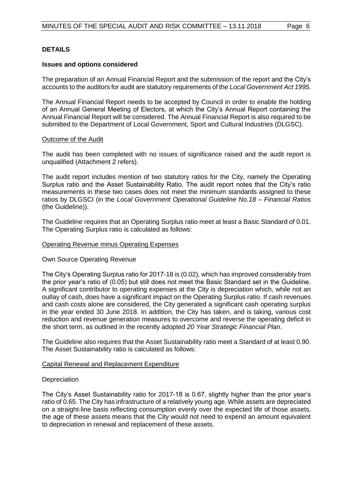#### **DETAILS**

#### **Issues and options considered**

The preparation of an Annual Financial Report and the submission of the report and the City's accounts to the auditors for audit are statutory requirements of the *Local Government Act 1995*.

The Annual Financial Report needs to be accepted by Council in order to enable the holding of an Annual General Meeting of Electors, at which the City's Annual Report containing the Annual Financial Report will be considered. The Annual Financial Report is also required to be submitted to the Department of Local Government, Sport and Cultural Industries (DLGSC).

#### Outcome of the Audit

The audit has been completed with no issues of significance raised and the audit report is unqualified (Attachment 2 refers).

The audit report includes mention of two statutory ratios for the City, namely the Operating Surplus ratio and the Asset Sustainability Ratio. The audit report notes that the City's ratio measurements in these two cases does not meet the minimum standards assigned to these ratios by DLGSCI (in the *Local Government Operational Guideline No.18 – Financial Ratios* (the Guideline)).

The Guideline requires that an Operating Surplus ratio meet at least a Basic Standard of 0.01. The Operating Surplus ratio is calculated as follows:

#### Operating Revenue minus Operating Expenses

#### Own Source Operating Revenue

The City's Operating Surplus ratio for 2017-18 is (0.02), which has improved considerably from the prior year's ratio of (0.05) but still does not meet the Basic Standard set in the Guideline. A significant contributor to operating expenses at the City is depreciation which, while not an outlay of cash, does have a significant impact on the Operating Surplus ratio. If cash revenues and cash costs alone are considered, the City generated a significant cash operating surplus in the year ended 30 June 2018. In addition, the City has taken, and is taking, various cost reduction and revenue generation measures to overcome and reverse the operating deficit in the short term, as outlined in the recently adopted *20 Year Strategic Financial Plan*.

The Guideline also requires that the Asset Sustainability ratio meet a Standard of at least 0.90. The Asset Sustainability ratio is calculated as follows:

#### Capital Renewal and Replacement Expenditure

#### **Depreciation**

The City's Asset Sustainability ratio for 2017-18 is 0.67, slightly higher than the prior year's ratio of 0.65. The City has infrastructure of a relatively young age. While assets are depreciated on a straight-line basis reflecting consumption evenly over the expected life of those assets, the age of these assets means that the City would not need to expend an amount equivalent to depreciation in renewal and replacement of these assets.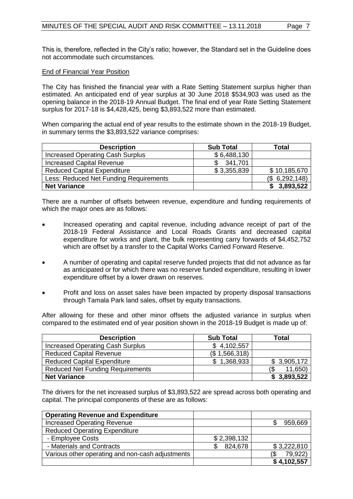This is, therefore, reflected in the City's ratio; however, the Standard set in the Guideline does not accommodate such circumstances.

#### End of Financial Year Position

The City has finished the financial year with a Rate Setting Statement surplus higher than estimated. An anticipated end of year surplus at 30 June 2018 \$534,903 was used as the opening balance in the 2018-19 Annual Budget. The final end of year Rate Setting Statement surplus for 2017-18 is \$4,428,425, being \$3,893,522 more than estimated.

When comparing the actual end of year results to the estimate shown in the 2018-19 Budget, in summary terms the \$3,893,522 variance comprises:

| <b>Description</b>                      | <b>Sub Total</b> | <b>Total</b>    |
|-----------------------------------------|------------------|-----------------|
| <b>Increased Operating Cash Surplus</b> | \$6,488,130      |                 |
| <b>Increased Capital Revenue</b>        | 341,701          |                 |
| <b>Reduced Capital Expenditure</b>      | \$3,355,839      | \$10,185,670    |
| Less: Reduced Net Funding Requirements  |                  | (\$6, 292, 148) |
| <b>Net Variance</b>                     |                  | \$3,893,522     |

There are a number of offsets between revenue, expenditure and funding requirements of which the major ones are as follows:

- Increased operating and capital revenue, including advance receipt of part of the 2018-19 Federal Assistance and Local Roads Grants and decreased capital expenditure for works and plant, the bulk representing carry forwards of \$4,452,752 which are offset by a transfer to the Capital Works Carried Forward Reserve.
- A number of operating and capital reserve funded projects that did not advance as far as anticipated or for which there was no reserve funded expenditure, resulting in lower expenditure offset by a lower drawn on reserves.
- Profit and loss on asset sales have been impacted by property disposal transactions through Tamala Park land sales, offset by equity transactions.

After allowing for these and other minor offsets the adjusted variance in surplus when compared to the estimated end of year position shown in the 2018-19 Budget is made up of:

| <b>Description</b>                      | <b>Sub Total</b> | Total       |
|-----------------------------------------|------------------|-------------|
| <b>Increased Operating Cash Surplus</b> | \$4,102,557      |             |
| <b>Reduced Capital Revenue</b>          | (\$1,566,318)    |             |
| <b>Reduced Capital Expenditure</b>      | \$1,368,933      | \$3,905,172 |
| <b>Reduced Net Funding Requirements</b> |                  | 11,650)     |
| <b>Net Variance</b>                     |                  | \$3,893,522 |

The drivers for the net increased surplus of \$3,893,522 are spread across both operating and capital. The principal components of these are as follows:

| <b>Operating Revenue and Expenditure</b>         |             |             |
|--------------------------------------------------|-------------|-------------|
| <b>Increased Operating Revenue</b>               |             | 959,669     |
| <b>Reduced Operating Expenditure</b>             |             |             |
| - Employee Costs                                 | \$2,398,132 |             |
| - Materials and Contracts                        | 824,678     | \$3,222,810 |
| Various other operating and non-cash adjustments |             | 79,922)     |
|                                                  |             | \$4,102,557 |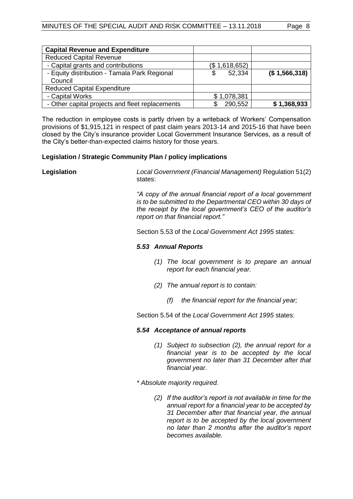| <b>Capital Revenue and Expenditure</b>          |               |               |
|-------------------------------------------------|---------------|---------------|
| <b>Reduced Capital Revenue</b>                  |               |               |
| - Capital grants and contributions              | (\$1,618,652) |               |
| - Equity distribution - Tamala Park Regional    | 52,334<br>S   | (\$1,566,318) |
| Council                                         |               |               |
| <b>Reduced Capital Expenditure</b>              |               |               |
| - Capital Works                                 | \$1,078,381   |               |
| - Other capital projects and fleet replacements | 290,552       | \$1,368,933   |

The reduction in employee costs is partly driven by a writeback of Workers' Compensation provisions of \$1,915,121 in respect of past claim years 2013-14 and 2015-16 that have been closed by the City's insurance provider Local Government Insurance Services, as a result of the City's better-than-expected claims history for those years.

#### **Legislation / Strategic Community Plan / policy implications**

**Legislation** *Local Government (Financial Management)* Regulation 51(2) states:

> *"A copy of the annual financial report of a local government is to be submitted to the Departmental CEO within 30 days of the receipt by the local government's CEO of the auditor's report on that financial report."*

Section 5.53 of the *Local Government Act 1995* states:

#### *5.53 Annual Reports*

- *(1) The local government is to prepare an annual report for each financial year.*
- *(2) The annual report is to contain:* 
	- *(f) the financial report for the financial year;*

Section 5.54 of the *Local Government Act 1995* states:

### *5.54 Acceptance of annual reports*

- *(1) Subject to subsection (2), the annual report for a financial year is to be accepted by the local government no later than 31 December after that financial year.*
- *\* Absolute majority required.* 
	- *(2) If the auditor's report is not available in time for the annual report for a financial year to be accepted by 31 December after that financial year, the annual report is to be accepted by the local government no later than 2 months after the auditor's report becomes available.*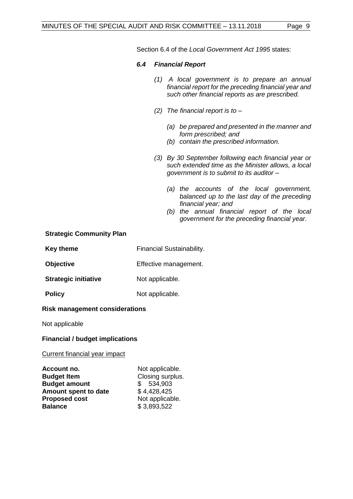Section 6.4 of the *Local Government Act 1995* states:

### *6.4 Financial Report*

- *(1) A local government is to prepare an annual financial report for the preceding financial year and such other financial reports as are prescribed.*
- *(2) The financial report is to –*
	- *(a) be prepared and presented in the manner and form prescribed; and*
	- *(b) contain the prescribed information.*
- *(3) By 30 September following each financial year or such extended time as the Minister allows, a local government is to submit to its auditor –*
	- *(a) the accounts of the local government, balanced up to the last day of the preceding financial year; and*
	- *(b) the annual financial report of the local government for the preceding financial year.*

### **Strategic Community Plan**

| <b>Key theme</b> | Financial Sustainability. |
|------------------|---------------------------|
|------------------|---------------------------|

**Objective** Effective management.

**Strategic initiative** Not applicable.

**Policy** Not applicable.

### **Risk management considerations**

Not applicable

### **Financial / budget implications**

#### Current financial year impact

| Account no.          | Not applicable.  |
|----------------------|------------------|
| <b>Budget Item</b>   | Closing surplus. |
| <b>Budget amount</b> | \$534,903        |
| Amount spent to date | \$4,428,425      |
| <b>Proposed cost</b> | Not applicable.  |
| <b>Balance</b>       | \$3,893,522      |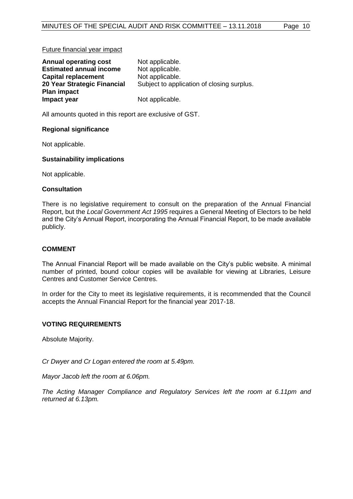#### Future financial year impact

| <b>Annual operating cost</b>   | Not applicable.                            |
|--------------------------------|--------------------------------------------|
| <b>Estimated annual income</b> | Not applicable.                            |
| <b>Capital replacement</b>     | Not applicable.                            |
| 20 Year Strategic Financial    | Subject to application of closing surplus. |
| <b>Plan impact</b>             |                                            |
| Impact year                    | Not applicable.                            |

All amounts quoted in this report are exclusive of GST.

#### **Regional significance**

Not applicable.

#### **Sustainability implications**

Not applicable.

#### **Consultation**

There is no legislative requirement to consult on the preparation of the Annual Financial Report, but the *Local Government Act 1995* requires a General Meeting of Electors to be held and the City's Annual Report, incorporating the Annual Financial Report, to be made available publicly.

### **COMMENT**

The Annual Financial Report will be made available on the City's public website. A minimal number of printed, bound colour copies will be available for viewing at Libraries, Leisure Centres and Customer Service Centres.

In order for the City to meet its legislative requirements, it is recommended that the Council accepts the Annual Financial Report for the financial year 2017-18.

### **VOTING REQUIREMENTS**

Absolute Majority.

*Cr Dwyer and Cr Logan entered the room at 5.49pm.* 

*Mayor Jacob left the room at 6.06pm.* 

*The Acting Manager Compliance and Regulatory Services left the room at 6.11pm and returned at 6.13pm.*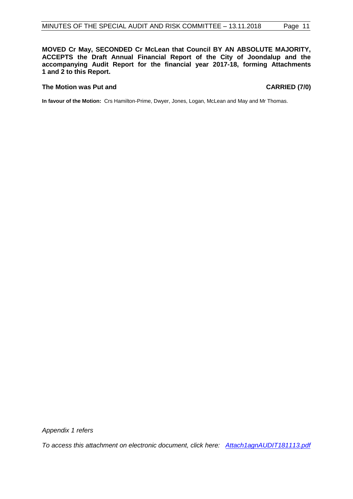**MOVED Cr May, SECONDED Cr McLean that Council BY AN ABSOLUTE MAJORITY, ACCEPTS the Draft Annual Financial Report of the City of Joondalup and the accompanying Audit Report for the financial year 2017-18, forming Attachments 1 and 2 to this Report.**

#### The Motion was Put and **CARRIED** (7/0)

**In favour of the Motion:** Crs Hamilton-Prime, Dwyer, Jones, Logan, McLean and May and Mr Thomas.

*Appendix 1 refers*

*[To access this attachment on electronic document, click here: Attach1agnAUDIT181113.pdf](http://www.joondalup.wa.gov.au/files/committees/AURI/2018/Attach1agnAUDIT181113.pdf)*